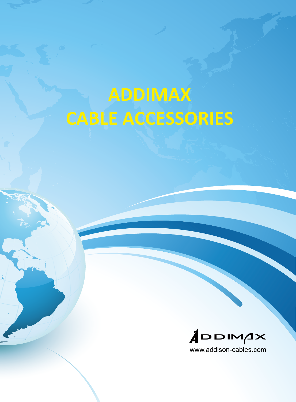# **ADDIMAX CABLE ACCESSORIES**

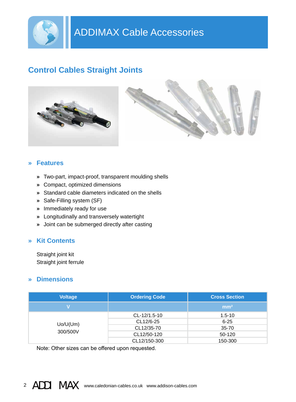

## **Control Cables Straight Joints**





#### **» Features**

- **»** Two-part, impact-proof, transparent moulding shells
- **»** Compact, optimized dimensions
- **»** Standard cable diameters indicated on the shells
- **»** Safe-Filling system (SF)
- **»** Immediately ready for use
- **»** Longitudinally and transversely watertight
- **»** Joint can be submerged directly after casting

#### **» Kit Contents**

Straight joint kit Straight joint ferrule

#### **» Dimensions**

| <b>Voltage</b>       | <b>Ordering Code</b> | <b>Cross Section</b> |
|----------------------|----------------------|----------------------|
| $\mathbf v$          |                      | mm <sup>2</sup>      |
| Uo/U(Um)<br>300/500V | CL-12/1.5-10         | $1.5 - 10$           |
|                      | CL12/6-25            | $6 - 25$             |
|                      | CL12/35-70           | $35 - 70$            |
|                      | CL12/50-120          | 50-120               |
|                      | CL12/150-300         | 150-300              |

Note: Other sizes can be offered upon requested.

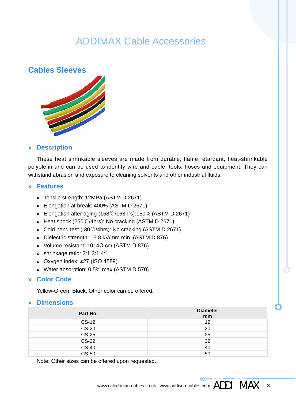## ADDIMAX Cable Accessories



#### **» Description**

These heat shrinkable sleeves are made from durable, flame retardant, heat-shrinkable polyolefin and can be used to identify wire and cable, tools, hoses and equipment. They can withstand abrasion and exposure to cleaning solvents and other industrial fluids.

#### **» Features**

- **»** Tensile strength: 12MPa (ASTM D 2671)
- **»** Elongation at break: 400% (ASTM D 2671)
- **»** Elongation after aging (158℃/168hrs):150% (ASTM D 2671)
- **»** Heat shock (250℃/4hrs): No cracking (ASTM D 2671)
- **»** Cold bend test (-30℃/4hrs): No cracking (ASTM D 2671)
- **»** Dielectric strength: 15.8 kV/mm min. (ASTM D 876)
- **»** Volume resistant: 1014Ω.cm (ASTM D 876)
- **»** shrinkage ratio: 2:1,3:1,4:1
- **»** Oxygen index: ≥27 (ISO 4589)
- **»** Water absorption: 0.5% max (ASTM D 570)

#### **» Color Code**

Yellow-Green, Black. Other color can be offered.

#### **» Dimensions**

| Part No.       | <b>Diameter</b><br>mm |
|----------------|-----------------------|
| <b>CS-12</b>   | 12                    |
| $CS-20$        | 20                    |
| <b>CS-25</b>   | 25                    |
| <b>CS-32</b>   | 32                    |
| CS-40<br>CS-50 | 40                    |
|                | 50                    |

Note: Other sizes can be offered upon requested.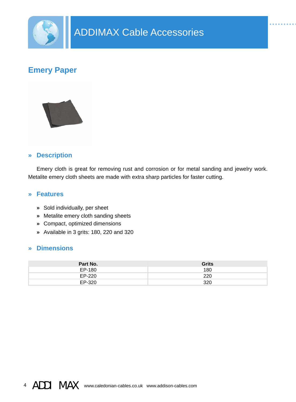

## **Emery Paper**



#### **» Description**

Emery cloth is great for removing rust and corrosion or for metal sanding and jewelry work. Metalite emery cloth sheets are made with extra sharp particles for faster cutting.

#### **» Features**

- **»** Sold individually, per sheet
- **»** Metalite emery cloth sanding sheets
- **»** Compact, optimized dimensions
- **»** Available in 3 grits: 180, 220 and 320

#### **» Dimensions**

| Part No. | <b>Grits</b> |
|----------|--------------|
| EP-180   | 180          |
| EP-220   | 220          |
| EP-320   | 320          |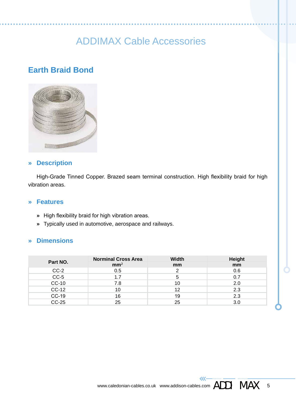# ADDIMAX Cable Accessories

## **Earth Braid Bond**



#### **» Description**

High-Grade Tinned Copper. Brazed seam terminal construction. High flexibility braid for high vibration areas.

#### **» Features**

- **»** High flexibility braid for high vibration areas.
- **»** Typically used in automotive, aerospace and railways.

#### **» Dimensions**

| Part NO.     | <b>Norminal Cross Area</b><br>mm <sup>2</sup> | Width<br>mm | Height<br>mm |
|--------------|-----------------------------------------------|-------------|--------------|
| $CC-2$       | 0.5                                           |             | 0.6          |
| $CC-5$       | 1.7                                           | 5           | 0.7          |
| $CC-10$      | 7.8                                           | 10          | 2.0          |
| $CC-12$      | 10                                            | 12          | 2.3          |
| $CC-19$      | 16                                            | 19          | 2.3          |
| <b>CC-25</b> | 25                                            | 25          | 3.0          |

 $\overline{\mathcal{U}}$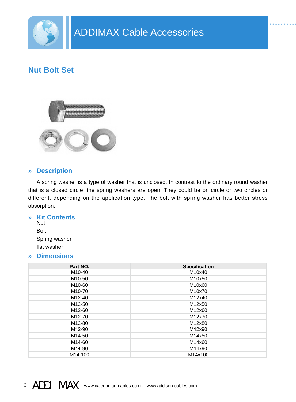

## **Nut Bolt Set**



#### **» Description**

A spring washer is a type of washer that is unclosed. In contrast to the ordinary round washer that is a closed circle, the spring washers are open. They could be on circle or two circles or different, depending on the application type. The bolt with spring washer has better stress absorption.

#### **» Kit Contents** Nut

Bolt Spring washer flat washer

#### **» Dimensions**

| Part NO.            | <b>Specification</b> |
|---------------------|----------------------|
| M <sub>10</sub> -40 | M10x40               |
| M <sub>10</sub> -50 | M10x50               |
| M <sub>10</sub> -60 | M10x60               |
| M <sub>10</sub> -70 | M10x70               |
| M12-40              | M12x40               |
| M <sub>12-50</sub>  | M12x50               |
| M12-60              | M12x60               |
| M12-70              | M12x70               |
| M12-80              | M12x80               |
| M12-90              | M12x90               |
| M14-50              | M14x50               |
| M14-60              | M14x60               |
| M14-90              | M14x90               |
| M14-100             | M14x100              |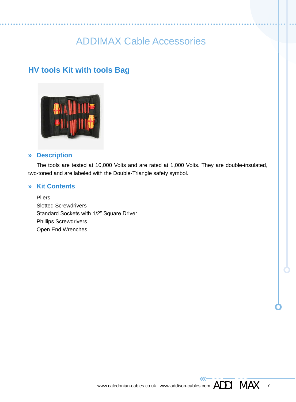# ADDIMAX Cable Accessories

## **HV tools Kit with tools Bag**



#### **» Description**

The tools are tested at 10,000 Volts and are rated at 1,000 Volts. They are double-insulated, two-toned and are labeled with the Double-Triangle safety symbol.

#### **» Kit Contents**

**Pliers** Slotted Screwdrivers Standard Sockets with 1/2" Square Driver Phillips Screwdrivers Open End Wrenches

 $\overline{\mathcal{U}}$